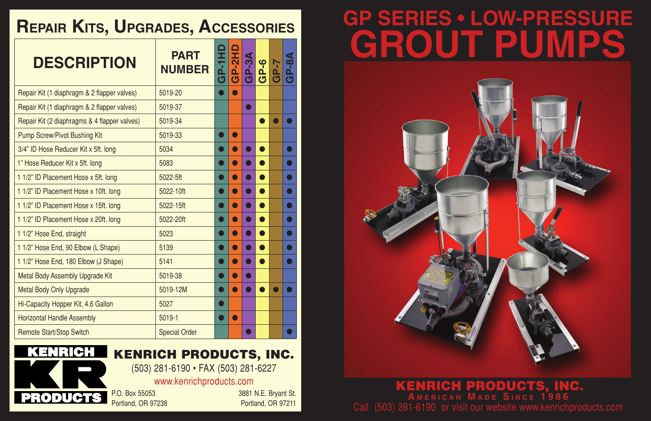# **GP SERIES • LOW-PRESSURE GROUT PUMPS**



## **Repair Kits, Upgrades, Accessories**

| <b>DESCRIPTION</b>                           | <b>PART</b><br><b>NUMBER</b> | <b>GP-1H</b> | GP-2H | <u>ကို</u><br><u>ය</u> | GP-6 | GP-7 | GP-8 |
|----------------------------------------------|------------------------------|--------------|-------|------------------------|------|------|------|
| Repair Kit (1 diaphragm & 2 flapper valves)  | 5019-20                      |              |       |                        |      |      |      |
| Repair Kit (1 diaphragm & 2 flapper valves)  | 5019-37                      |              |       |                        |      |      |      |
| Repair Kit (2 diaphragms & 4 flapper valves) | 5019-34                      |              |       |                        |      |      |      |
| <b>Pump Screw/Pivot Bushing Kit</b>          | 5019-33                      |              |       |                        |      |      |      |
| 3/4" ID Hose Reducer Kit x 5ft. long         | 5034                         |              |       |                        |      |      |      |
| 1" Hose Reducer Kit x 5ft. long              | 5083                         |              |       |                        |      |      |      |
| 1 1/2" ID Placement Hose x 5ft. long         | 5022-5ft                     |              |       |                        |      |      |      |
| 1 1/2" ID Placement Hose x 10ft. long        | 5022-10ft                    |              |       |                        |      |      |      |
| 1 1/2" ID Placement Hose x 15ft. long        | 5022-15ft                    |              |       |                        |      |      |      |
| 1 1/2" ID Placement Hose x 20ft. long        | 5022-20ft                    |              |       |                        |      |      |      |
| 1 1/2" Hose End, straight                    | 5023                         |              |       |                        |      |      |      |
| 1 1/2" Hose End, 90 Elbow (L Shape)          | 5139                         |              |       |                        |      |      |      |
| 1 1/2" Hose End, 180 Elbow (J Shape)         | 5141                         |              |       |                        |      |      |      |
| Metal Body Assembly Upgrade Kit              | 5019-38                      |              |       |                        |      |      |      |
| <b>Metal Body Only Upgrade</b>               | 5019-12M                     |              |       |                        |      |      |      |
| Hi-Capacity Hopper Kit, 4.6 Gallon           | 5027                         |              |       |                        |      |      |      |
| <b>Horizontal Handle Assembly</b>            | 5019-1                       |              |       |                        |      |      |      |
| <b>Remote Start/Stop Switch</b>              | <b>Special Order</b>         |              |       |                        |      |      |      |